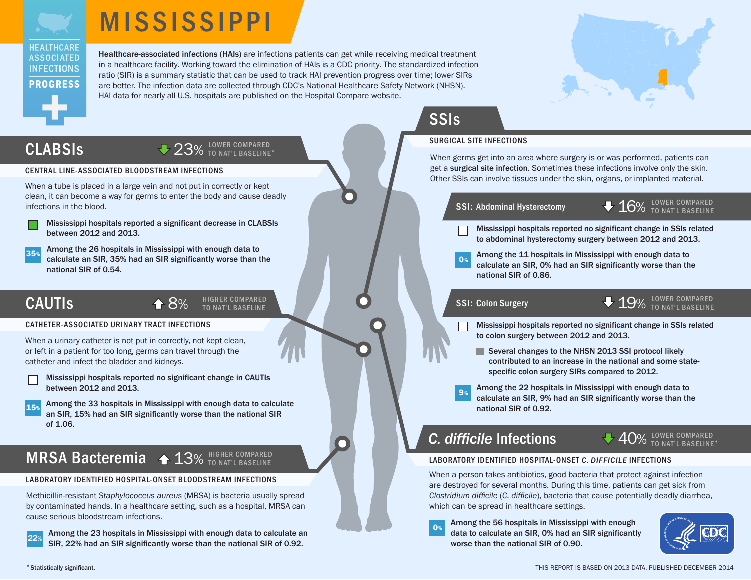



Healthcare-associated infections (HAIs) are infections patients can get while receiving medical treatment in a healthcare facility. Working toward the elimination of HAIs is a CDC priority. The standardized infection ratio (SIR) is a summary statistic that can be used to track HAI prevention progress over time; lower SIRs are better. The infection data are collected through CDC's National Healthcare Safety Network (NHSN). HAI data for nearly all U.S. hospitals are published on the Hospital Compare website.



## CLABSIs

## 23% LOWER COMPARED

### CENTRAL LINE-ASSOCIATED BLOODSTREAM INFECTIONS

When a tube is placed in a large vein and not put in correctly or kept clean, it can become a way for germs to enter the body and cause deadly infections in the blood.

Mississippi hospitals reported a significant decrease in CLABSIs between 2012 and 2013.

35% Among the 26 hospitals in Mississippi with enough data to calculate an SIR, 35% had an SIR significantly worse than the national SIR of 0.54.

## CAUTIs

8% HIGHER COMPARED

### CATHETER-ASSOCIATED URINARY TRACT INFECTIONS

When a urinary catheter is not put in correctly, not kept clean, or left in a patient for too long, germs can travel through the catheter and infect the bladder and kidneys.

| Mississippi hospitals reported no significant change in CAUTIs |
|----------------------------------------------------------------|
| between 2012 and 2013.                                         |

Among the 33 hospitals in Mississippi with enough data to calculate an SIR, 15% had an SIR significantly worse than the national SIR of 1.06.

## MRSA Bacteremia  $\textstyle\blacktriangleleft$  13% HIGHER COMPARED

### LABORATORY IDENTIFIED HOSPITAL-ONSET BLOODSTREAM INFECTIONS

Methicillin-resistant *Staphylococcus aureus* (MRSA) is bacteria usually spread by contaminated hands. In a healthcare setting, such as a hospital, MRSA can cause serious bloodstream infections.

Among the 23 hospitals in Mississippi with enough data to calculate an SIR, 22% had an SIR significantly worse than the national SIR of 0.92.

## **SSIs**

### SURGICAL SITE INFECTIONS

When germs get into an area where surgery is or was performed, patients can get a surgical site infection. Sometimes these infections involve only the skin. Other SSIs can involve tissues under the skin, organs, or implanted material.



- Mississippi hospitals reported no significant change in SSIs related to abdominal hysterectomy surgery between 2012 and 2013.
- Among the 11 hospitals in Mississippi with enough data to calculate an SIR, 0% had an SIR significantly worse than the national SIR of 0.86.

 $\bullet$   $19\%$   $10^{10\, \text{VER}}$  compared  $\bullet$   $19\%$   $10^{10\, \text{VER}}$  compared

- Mississippi hospitals reported no significant change in SSIs related to colon surgery between 2012 and 2013.
	- Several [changes to the NHSN 2013 SSI protocol](http://www.cdc.gov/nhsn/PDFs/Newsletters/Dec-2012.pdf) likely contributed to an increase in the national and some statespecific colon surgery SIRs compared to 2012.
- Among the 22 hospitals in Mississippi with enough data to calculate an SIR, 9% had an SIR significantly worse than the national SIR of 0.92.

## *C. difficile* Infections

## 40% LOWER COMPARED

### LABORATORY IDENTIFIED HOSPITAL-ONSET *C. DIFFICILE* INFECTIONS

When a person takes antibiotics, good bacteria that protect against infection are destroyed for several months. During this time, patients can get sick from *Clostridium difficile* (*C. difficile*), bacteria that cause potentially deadly diarrhea, which can be spread in healthcare settings.

**O**% Among the 56 hospitals in Mississippi with enough data to calculate an SIR, 0% had an SIR significantly worse than the national SIR of 0.90.